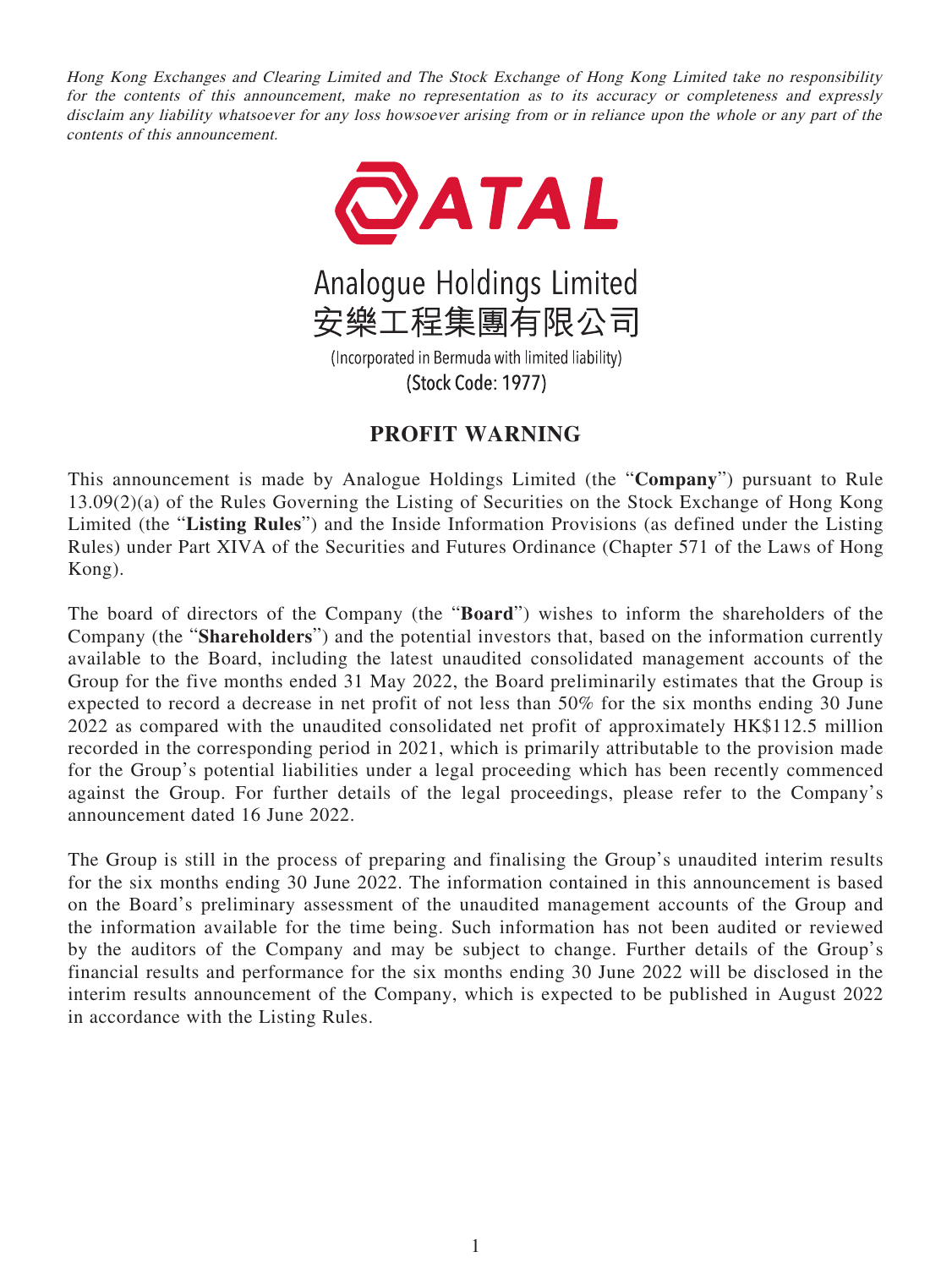Hong Kong Exchanges and Clearing Limited and The Stock Exchange of Hong Kong Limited take no responsibility for the contents of this announcement, make no representation as to its accuracy or completeness and expressly disclaim any liability whatsoever for any loss howsoever arising from or in reliance upon the whole or any part of the contents of this announcement.



## **PROFIT WARNING**

This announcement is made by Analogue Holdings Limited (the "**Company**") pursuant to Rule 13.09(2)(a) of the Rules Governing the Listing of Securities on the Stock Exchange of Hong Kong Limited (the "**Listing Rules**") and the Inside Information Provisions (as defined under the Listing Rules) under Part XIVA of the Securities and Futures Ordinance (Chapter 571 of the Laws of Hong Kong).

The board of directors of the Company (the "**Board**") wishes to inform the shareholders of the Company (the "**Shareholders**") and the potential investors that, based on the information currently available to the Board, including the latest unaudited consolidated management accounts of the Group for the five months ended 31 May 2022, the Board preliminarily estimates that the Group is expected to record a decrease in net profit of not less than 50% for the six months ending 30 June 2022 as compared with the unaudited consolidated net profit of approximately HK\$112.5 million recorded in the corresponding period in 2021, which is primarily attributable to the provision made for the Group's potential liabilities under a legal proceeding which has been recently commenced against the Group. For further details of the legal proceedings, please refer to the Company's announcement dated 16 June 2022.

The Group is still in the process of preparing and finalising the Group's unaudited interim results for the six months ending 30 June 2022. The information contained in this announcement is based on the Board's preliminary assessment of the unaudited management accounts of the Group and the information available for the time being. Such information has not been audited or reviewed by the auditors of the Company and may be subject to change. Further details of the Group's financial results and performance for the six months ending 30 June 2022 will be disclosed in the interim results announcement of the Company, which is expected to be published in August 2022 in accordance with the Listing Rules.